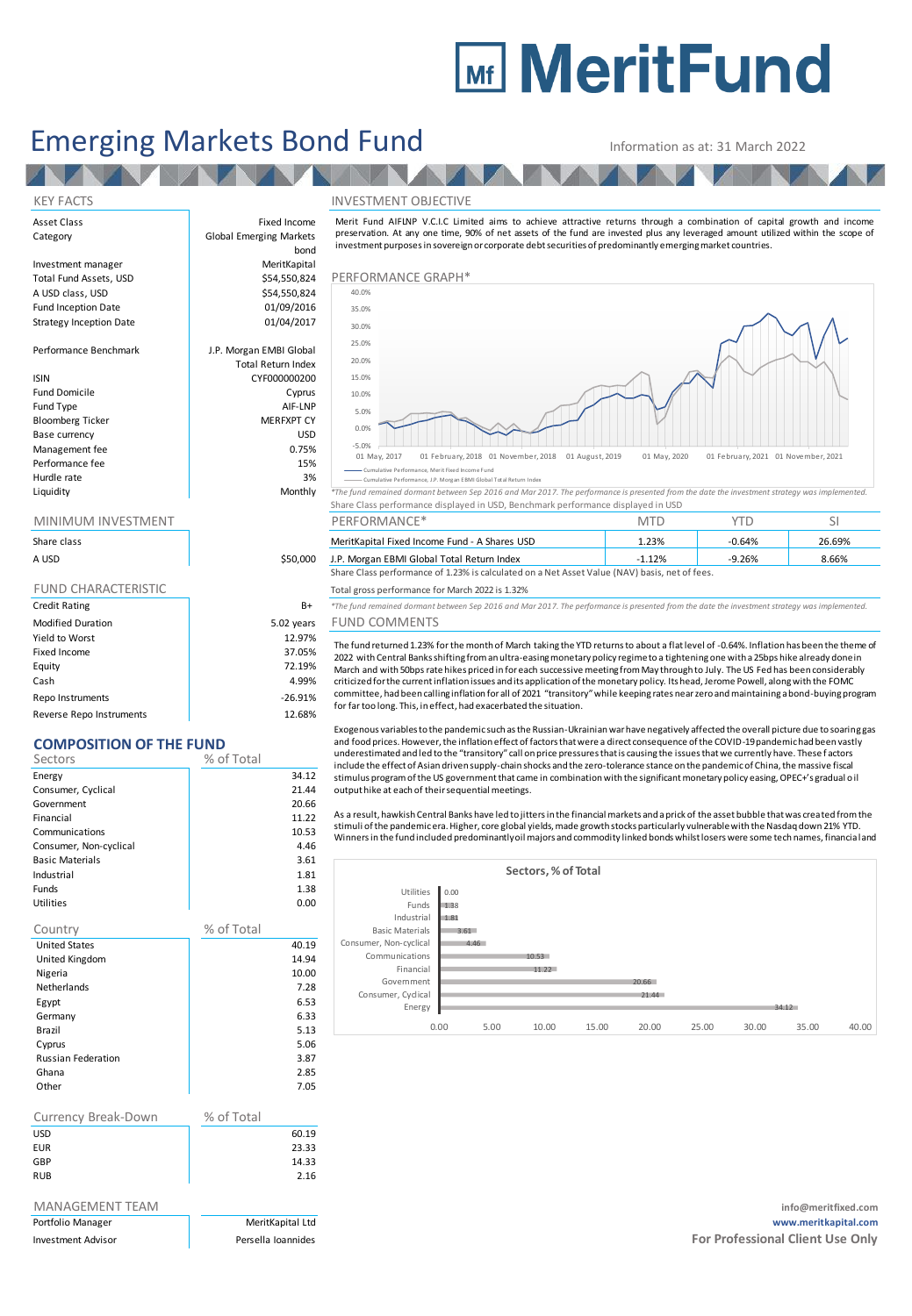# **Mir MeritFund**

## Emerging Markets Bond Fund Information as at: 31 March 2022

**EN** 

**TALA** 

bond

AN A

Total Return Index

Asset Class **Fixed Income** Category **Global Emerging Markets** 

Investment manager MeritKapital A USD class, USD 6. 6.54,550,824<br>
Fund Inception Date 6. 6.1/09/2016 Fund Inception Date **12 bis 1200 million**<br>Strategy Inception Date 1986 million 01/04/2017 Strategy Inception Date

Performance Benchmark J.P. Morgan EMBI Global

### ISIN CYF000000200

Fund Domicile **Cyprus** Fund Type AIF-LNP<br>Bloomberg Ticker AIF-LNP MERFXPT CY Bloomberg Ticker Base currency USD Management fee between the contraction of the contraction of the contraction of the contraction of the contraction of the contraction of the contraction of the contraction of the contraction of the contraction of the contr Performance fee 15% and 15% and 15% and 15% and 15% and 15% and 15% and 15% and 15% and 15% and 15% and 15% and 15% and 15% and 15% and 15% and 15% and 15% and 15% and 15% and 15% and 15% and 15% and 15% and 15% and 15% an Hurdle rate and the state of the state of the state of the state of the state of the state of the state of the<br>All the state of the state of the state of the state of the state of the state of the state of the state of th

|                          |            | Share Class performance displayed in USD, Benchmark performance displayed in USD.                                                             |            |          |        |  |  |
|--------------------------|------------|-----------------------------------------------------------------------------------------------------------------------------------------------|------------|----------|--------|--|--|
| MINIMUM INVESTMENT       |            | PERFORMANCE*                                                                                                                                  | <b>MTD</b> | YTD      | SI     |  |  |
| Share class              |            | MeritKapital Fixed Income Fund - A Shares USD                                                                                                 | 1.23%      | $-0.64%$ | 26.69% |  |  |
| A USD                    | \$50,000   | J.P. Morgan EBMI Global Total Return Index                                                                                                    | $-1.12%$   | $-9.26%$ | 8.66%  |  |  |
|                          |            | Share Class performance of 1.23% is calculated on a Net Asset Value (NAV) basis, net of fees.                                                 |            |          |        |  |  |
| FUND CHARACTERISTIC      |            | Total gross performance for March 2022 is 1.32%                                                                                               |            |          |        |  |  |
| <b>Credit Rating</b>     | B+         | *The fund remained dormant between Sep 2016 and Mar 2017. The performance is presented from the date the investment strategy was implemented. |            |          |        |  |  |
| <b>Modified Duration</b> | 5.02 years | <b>FUND COMMENTS</b>                                                                                                                          |            |          |        |  |  |
| Yield to Worst           | 12.97%     | The fund returned 1.23% for the month of March taking the YTD returns to about a flat level of -0.64%. Inflation has been the theme           |            |          |        |  |  |
| Fixed Income             | 37.05%     | 2022 with Central Banks shifting from an ultra-easing monetary policy regime to a tightening one with a 25bps hike already donein             |            |          |        |  |  |
| Equity                   | 72.19%     | March and with 50bps rate hikes priced in for each successive meeting from May through to July. The US Fed has been considerably              |            |          |        |  |  |
| Cash                     | 4.99%      | criticized for the current inflation issues and its application of the monetary policy. Its head, Jerome Powell, along with the FOMC          |            |          |        |  |  |

Repo Instruments and the contract of the contract of the contract of the contract of the contract of the contract of the contract of the contract of the contract of the contract of the contract of the contract of the contr Reverse Repo Instruments 12.68%

## **COMPOSITION OF THE FUND**

|                           | % of Total |       |
|---------------------------|------------|-------|
| Sectors                   |            |       |
| Energy                    |            | 34.12 |
| Consumer, Cyclical        |            | 21.44 |
| Government                |            | 20.66 |
| Financial                 |            | 11.22 |
| Communications            |            | 10.53 |
| Consumer, Non-cyclical    |            | 4.46  |
| <b>Basic Materials</b>    |            | 3.61  |
| Industrial                |            | 1.81  |
| Funds                     |            | 1.38  |
| <b>Utilities</b>          |            | 0.00  |
|                           |            |       |
| Country                   | % of Total |       |
| <b>United States</b>      |            | 40.19 |
| United Kingdom            |            | 14.94 |
| Nigeria                   |            | 10.00 |
| <b>Netherlands</b>        |            | 7.28  |
| Egypt                     |            | 6.53  |
| Germany                   |            | 6.33  |
| Brazil                    |            | 5.13  |
| Cyprus                    |            | 5.06  |
| <b>Russian Federation</b> |            | 3.87  |

| Currency Break-Down | % of Total |       |
|---------------------|------------|-------|
| <b>USD</b>          |            | 60.19 |
| <b>EUR</b>          |            | 23.33 |
| GBP                 |            | 14.33 |
| <b>RUB</b>          |            | 2.16  |
|                     |            |       |

Ghana 2.85 Other 7.05

### KEY FACTS INVESTMENT OBJECTIVE

Total Fund Assets, USD **\$54,550,824** PERFORMANCE GRAPH Merit Fund AIFLNP V.C.I.C Limited aims to achieve attractive returns through a combination of capital growth and income Information as at: 31 March 2022<br>
NVESTMENT OBJECTIVE<br>
Merit Fund AIFUNP V.C.I.C Limited aims to achieve attractive returns through a combination of capital growth and income<br>
preservation. At any one time, 90% of net asse 35.0% 40.0%



Cumulative Performance, Merit Fixed Income Fund ulative Performance, J.P. Morgan EBMI Global Total Ret

The fund remained dormant between Sep 2016 and Mar 2017. The performance is presented from the date the investment strategy was implemented. Share Class performance displayed in USD, Benchmark performance displayed in USD

| <u>IVIIIVIIVIUIVI IIV V LJ IIVILIV I</u> |          | F LIN UNIVIAIVUL                                                                              | $\cup$ |          |        |
|------------------------------------------|----------|-----------------------------------------------------------------------------------------------|--------|----------|--------|
| Share class                              |          | MeritKapital Fixed Income Fund - A Shares USD                                                 | 1.23%  | $-0.64%$ | 26.69% |
| A USD                                    | \$50,000 | J.P. Morgan EBMI Global Total Return Index                                                    | 1.12%  | $-9.26%$ | 8.66%  |
|                                          |          | Share Class performance of 1.23% is calculated on a Net Asset Value (NAV) basis, net of fees. |        |          |        |

The fund returned 1.23% for the month of March taking the YTD returns to about a flat level of -0.64%. Inflation has been the theme of<br>2022 with Central Banks shifting from an ultra-easing monetary policy regime to a tight March and with 50bps rate hikes priced in for each successive meeting from May through to July. The US Fed has been considerably criticized for the current inflation issues and its application of the monetary policy. Its head, Jerome Powell, along with the FOMC committee, had been calling inflation for all of 2021 "transitory" while keeping rates near zero and maintaining a bond-buying program for far too long. This, in effect, had exacerbated the situation.

Exogenous variables to the pandemic such as the Russian-Ukrainian war have negatively affected the overall picture due to soaring gas and food prices. However, the inflation effect of factors that were a direct consequence of the COVID-19 pandemic had been vastly underestimated and led to the "transitory" call on price pressures that is causing the issues that we currently have. These f actors maturi and win boups late links pincentification of the monetary policy. Its head, Jerome Powell, along with the FOMC<br>committee, had been calling inflation issues and its application of the monetary policy. Its head, Jerom stimulus program of the US government that came in combination with the significant monetary policy easing, OPEC+'s gradual oil output hike at each of their sequential meetings.

As a result, hawkish Central Banks have led to jitters in the financial markets and a prick of the asset bubble that was created from the stimuli of the pandemic era. Higher, core global yields, made growth stocks particularly vulnerable with the Nasdaq down 21% YTD. Winners in the fund included predominantly oil majors and commodity linked bonds whilst losers were some tech names, financial and